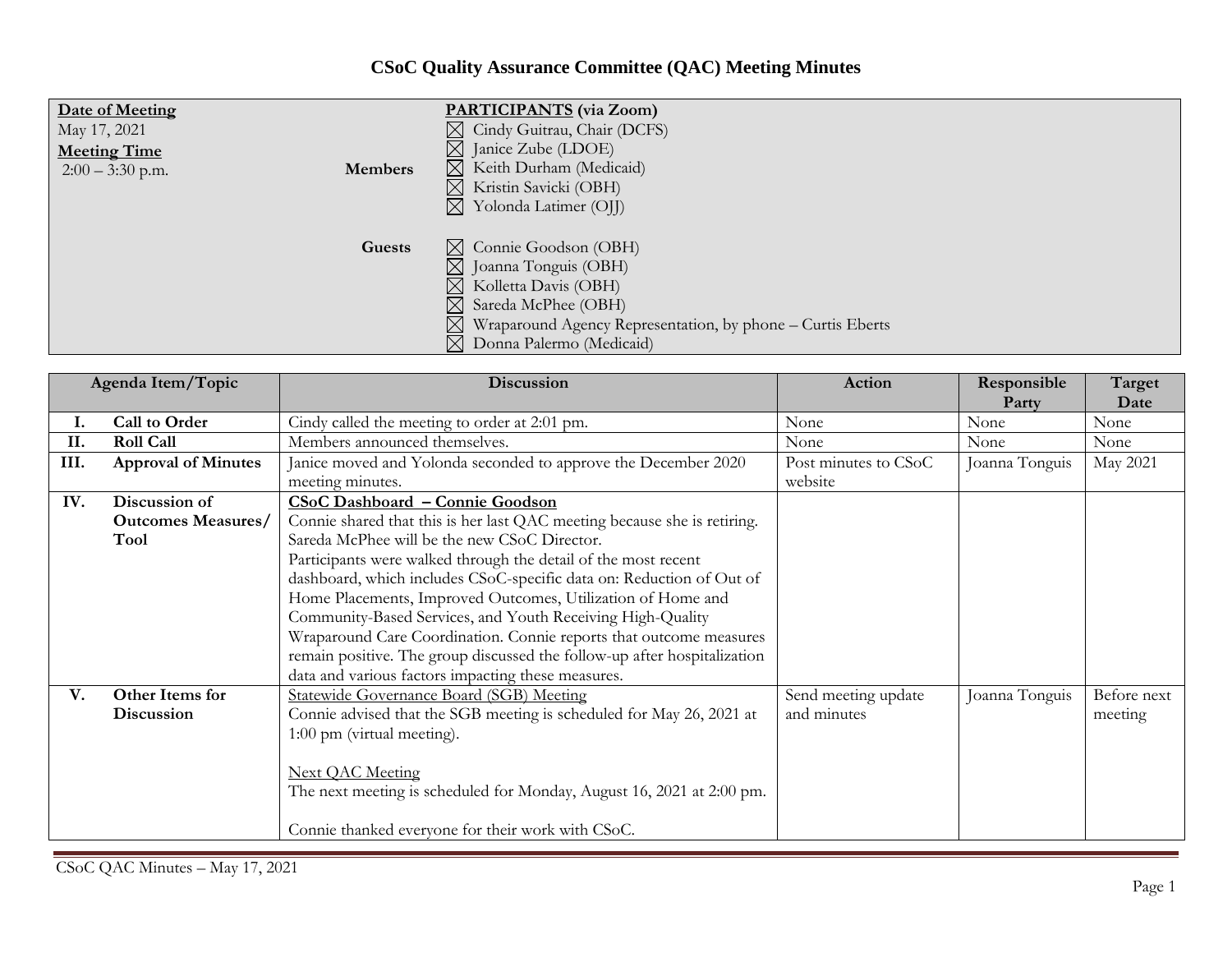## **CSoC Quality Assurance Committee (QAC) Meeting Minutes**

| Date of Meeting<br>May 17, 2021<br><b>Meeting Time</b><br>$2:00 - 3:30$ p.m. | <b>Members</b> | <b>PARTICIPANTS</b> (via Zoom)<br>$\boxtimes$ Cindy Guitrau, Chair (DCFS)<br>$\boxtimes$ Janice Zube (LDOE)<br>$\boxtimes$ Keith Durham (Medicaid)<br>$\boxtimes$ Kristin Savicki (OBH)<br>$\boxtimes$ Yolonda Latimer (OII)                                  |
|------------------------------------------------------------------------------|----------------|---------------------------------------------------------------------------------------------------------------------------------------------------------------------------------------------------------------------------------------------------------------|
|                                                                              | Guests         | $\boxtimes$ Connie Goodson (OBH)<br>$\boxtimes$ Joanna Tonguis (OBH)<br>$\boxtimes$ Kolletta Davis (OBH)<br>$\boxtimes$ Sareda McPhee (OBH)<br>$\boxtimes$ Wraparound Agency Representation, by phone – Curtis Eberts<br>$\boxtimes$ Donna Palermo (Medicaid) |

| Agenda Item/Topic |                            | Discussion                                                               | Action               | Responsible    | Target      |
|-------------------|----------------------------|--------------------------------------------------------------------------|----------------------|----------------|-------------|
|                   |                            |                                                                          |                      | Party          | Date        |
| ı.                | Call to Order              | Cindy called the meeting to order at 2:01 pm.                            | None                 | None           | None        |
| II.               | <b>Roll Call</b>           | Members announced themselves.                                            | None                 | None           | None        |
| III.              | <b>Approval of Minutes</b> | Janice moved and Yolonda seconded to approve the December 2020           | Post minutes to CSoC | Joanna Tonguis | May 2021    |
|                   |                            | meeting minutes.                                                         | website              |                |             |
| IV.               | Discussion of              | CSoC Dashboard - Connie Goodson                                          |                      |                |             |
|                   | <b>Outcomes Measures/</b>  | Connie shared that this is her last QAC meeting because she is retiring. |                      |                |             |
|                   | Tool                       | Sareda McPhee will be the new CSoC Director.                             |                      |                |             |
|                   |                            | Participants were walked through the detail of the most recent           |                      |                |             |
|                   |                            | dashboard, which includes CSoC-specific data on: Reduction of Out of     |                      |                |             |
|                   |                            | Home Placements, Improved Outcomes, Utilization of Home and              |                      |                |             |
|                   |                            | Community-Based Services, and Youth Receiving High-Quality               |                      |                |             |
|                   |                            | Wraparound Care Coordination. Connie reports that outcome measures       |                      |                |             |
|                   |                            | remain positive. The group discussed the follow-up after hospitalization |                      |                |             |
|                   |                            | data and various factors impacting these measures.                       |                      |                |             |
| V.                | Other Items for            | Statewide Governance Board (SGB) Meeting                                 | Send meeting update  | Joanna Tonguis | Before next |
|                   | Discussion                 | Connie advised that the SGB meeting is scheduled for May 26, 2021 at     | and minutes          |                | meeting     |
|                   |                            | 1:00 pm (virtual meeting).                                               |                      |                |             |
|                   |                            |                                                                          |                      |                |             |
|                   |                            | <b>Next OAC Meeting</b>                                                  |                      |                |             |
|                   |                            | The next meeting is scheduled for Monday, August 16, 2021 at 2:00 pm.    |                      |                |             |
|                   |                            |                                                                          |                      |                |             |
|                   |                            | Connie thanked everyone for their work with CSoC.                        |                      |                |             |